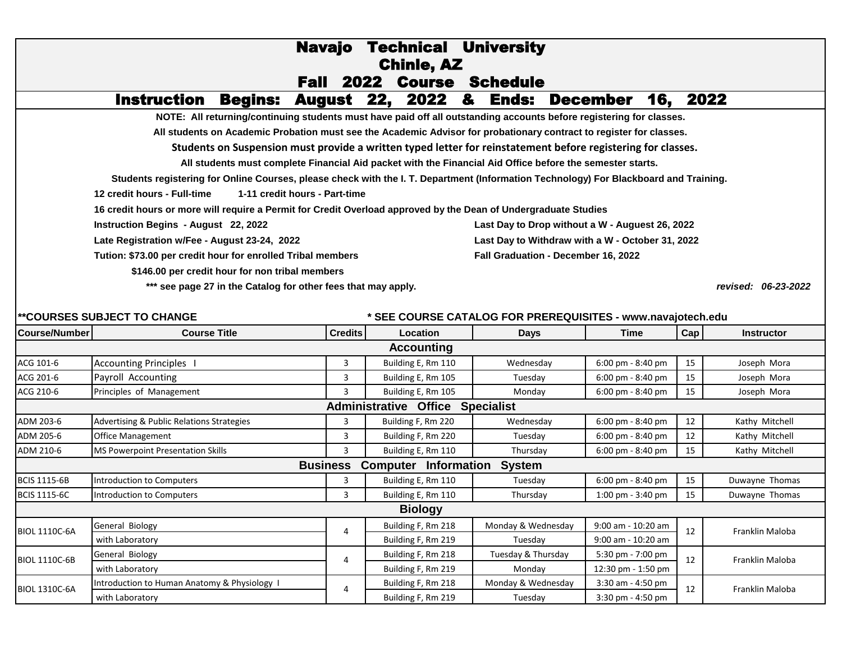## Navajo Technical University Fall 2022 Course Schedule **NOTE: All returning/continuing students must have paid off all outstanding accounts before registering for classes.** Instruction Begins: August 22, 2022 & Ends: December 16, 2022 Chinle, AZ

**All students on Academic Probation must see the Academic Advisor for probationary contract to register for classes.**

**Students on Suspension must provide a written typed letter for reinstatement before registering for classes.** 

**All students must complete Financial Aid packet with the Financial Aid Office before the semester starts.** 

**Students registering for Online Courses, please check with the I. T. Department (Information Technology) For Blackboard and Training.** 

**12 credit hours - Full-time 1-11 credit hours - Part-time** 

**16 credit hours or more will require a Permit for Credit Overload approved by the Dean of Undergraduate Studies**

**Late Registration w/Fee - August 23-24, 2022**

**Tution: \$73.00 per credit hour for enrolled Tribal members Fall Graduation - December 16, 2022**

 **\$146.00 per credit hour for non tribal members**

**\*\*\* see page 27 in the Catalog for other fees that may apply.** 

**Instruction Begins - August 22, 2022 Last Day to Drop without a W - Auguest 26, 2022 Last Day to Withdraw with a W - October 31, 2022**

*revised: 06-23-2022*

| <b>**COURSES SUBJECT TO CHANGE</b>                          |                                              |                 | * SEE COURSE CATALOG FOR PREREQUISITES - www.navajotech.edu |                    |                                     |     |                   |  |  |
|-------------------------------------------------------------|----------------------------------------------|-----------------|-------------------------------------------------------------|--------------------|-------------------------------------|-----|-------------------|--|--|
| Course/Number                                               | <b>Course Title</b>                          | <b>Credits</b>  | <b>Location</b>                                             | <b>Days</b>        | <b>Time</b>                         | Cap | <b>Instructor</b> |  |  |
| <b>Accounting</b>                                           |                                              |                 |                                                             |                    |                                     |     |                   |  |  |
| ACG 101-6                                                   | <b>Accounting Principles</b>                 | 3               | Building E, Rm 110                                          | Wednesday          | 6:00 pm - 8:40 pm                   | 15  | Joseph Mora       |  |  |
| ACG 201-6                                                   | Payroll Accounting                           | 3               | Building E, Rm 105                                          | Tuesday            | 6:00 pm - 8:40 pm                   | 15  | Joseph Mora       |  |  |
| ACG 210-6                                                   | Principles of Management                     | 3               | Building E, Rm 105                                          | Monday             | $6:00 \text{ pm} - 8:40 \text{ pm}$ | 15  | Joseph Mora       |  |  |
| <b>Administrative</b><br><b>Office</b><br><b>Specialist</b> |                                              |                 |                                                             |                    |                                     |     |                   |  |  |
| ADM 203-6                                                   | Advertising & Public Relations Strategies    | 3               | Building F, Rm 220                                          | Wednesday          | 6:00 pm - 8:40 pm                   | 12  | Kathy Mitchell    |  |  |
| ADM 205-6                                                   | <b>Office Management</b>                     | 3               | Building F, Rm 220                                          | Tuesday            | 6:00 pm - 8:40 pm                   | 12  | Kathy Mitchell    |  |  |
| ADM 210-6                                                   | <b>MS Powerpoint Presentation Skills</b>     | 3               | Building E, Rm 110                                          | Thursday           | 6:00 pm - 8:40 pm                   | 15  | Kathy Mitchell    |  |  |
|                                                             |                                              | <b>Business</b> | <b>Computer Information</b>                                 | <b>System</b>      |                                     |     |                   |  |  |
| <b>BCIS 1115-6B</b>                                         | Introduction to Computers                    | 3               | Building E, Rm 110                                          | Tuesday            | 6:00 pm - 8:40 pm                   | 15  | Duwayne Thomas    |  |  |
| <b>BCIS 1115-6C</b>                                         | Introduction to Computers                    | 3               | Building E, Rm 110                                          | Thursday           | $1:00 \text{ pm} - 3:40 \text{ pm}$ | 15  | Duwayne Thomas    |  |  |
| <b>Biology</b>                                              |                                              |                 |                                                             |                    |                                     |     |                   |  |  |
| <b>BIOL 1110C-6A</b>                                        | General Biology                              | 4               | Building F, Rm 218                                          | Monday & Wednesday | 9:00 am - 10:20 am                  | 12  | Franklin Maloba   |  |  |
|                                                             | with Laboratory                              |                 | Building F, Rm 219                                          | Tuesday            | 9:00 am - 10:20 am                  |     |                   |  |  |
| <b>BIOL 1110C-6B</b>                                        | General Biology                              | 4               | Building F, Rm 218                                          | Tuesday & Thursday | 5:30 pm - 7:00 pm                   | 12  | Franklin Maloba   |  |  |
|                                                             | with Laboratory                              |                 | Building F, Rm 219                                          | Monday             | 12:30 pm - 1:50 pm                  |     |                   |  |  |
| <b>BIOL 1310C-6A</b>                                        | Introduction to Human Anatomy & Physiology 1 | 4               | Building F, Rm 218                                          | Monday & Wednesday | $3:30$ am - 4:50 pm                 | 12  | Franklin Maloba   |  |  |
|                                                             | with Laboratory                              |                 | Building F, Rm 219                                          | Tuesday            | 3:30 pm - 4:50 pm                   |     |                   |  |  |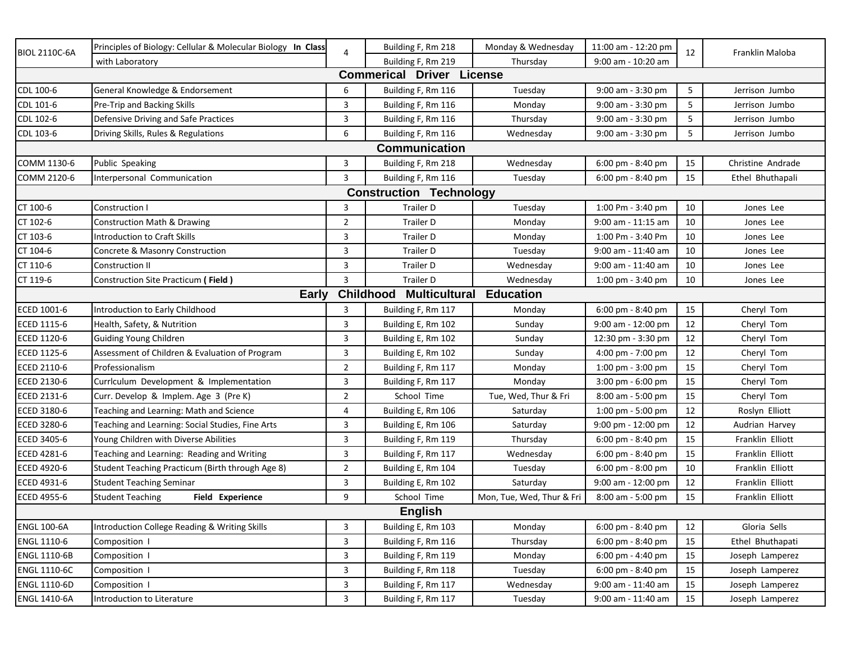| <b>BIOL 2110C-6A</b>                                                  | Principles of Biology: Cellular & Molecular Biology In Class | 4              | Building F, Rm 218             | Monday & Wednesday        | 11:00 am - 12:20 pm                 | 12 | Franklin Maloba   |  |  |
|-----------------------------------------------------------------------|--------------------------------------------------------------|----------------|--------------------------------|---------------------------|-------------------------------------|----|-------------------|--|--|
|                                                                       | with Laboratory                                              |                | Building F, Rm 219             | Thursday                  | 9:00 am - 10:20 am                  |    |                   |  |  |
| <b>Commerical Driver License</b>                                      |                                                              |                |                                |                           |                                     |    |                   |  |  |
| CDL 100-6                                                             | General Knowledge & Endorsement                              | 6              | Building F, Rm 116             | Tuesday                   | 9:00 am - 3:30 pm                   | 5  | Jerrison Jumbo    |  |  |
| CDL 101-6                                                             | Pre-Trip and Backing Skills                                  | 3              | Building F, Rm 116             | Monday                    | 9:00 am - 3:30 pm                   | 5  | Jerrison Jumbo    |  |  |
| CDL 102-6                                                             | Defensive Driving and Safe Practices                         | 3              | Building F, Rm 116             | Thursday                  | 9:00 am - 3:30 pm                   | 5  | Jerrison Jumbo    |  |  |
| CDL 103-6                                                             | Driving Skills, Rules & Regulations                          | 6              | Building F, Rm 116             | Wednesday                 | 9:00 am - 3:30 pm                   | 5  | Jerrison Jumbo    |  |  |
| <b>Communication</b>                                                  |                                                              |                |                                |                           |                                     |    |                   |  |  |
| COMM 1130-6                                                           | Public Speaking                                              | 3              | Building F, Rm 218             | Wednesday                 | $6:00 \text{ pm} - 8:40 \text{ pm}$ | 15 | Christine Andrade |  |  |
| COMM 2120-6                                                           | Interpersonal Communication                                  | 3              | Building F, Rm 116             | Tuesday                   | $6:00 \text{ pm} - 8:40 \text{ pm}$ | 15 | Ethel Bhuthapali  |  |  |
|                                                                       |                                                              |                | <b>Construction Technology</b> |                           |                                     |    |                   |  |  |
| CT 100-6                                                              | Construction I                                               | 3              | Trailer D                      | Tuesday                   | 1:00 Pm - 3:40 pm                   | 10 | Jones Lee         |  |  |
| CT 102-6                                                              | Construction Math & Drawing                                  | $\overline{2}$ | <b>Trailer D</b>               | Monday                    | 9:00 am - 11:15 am                  | 10 | Jones Lee         |  |  |
| CT 103-6                                                              | <b>Introduction to Craft Skills</b>                          | 3              | <b>Trailer D</b>               | Monday                    | 1:00 Pm - 3:40 Pm                   | 10 | Jones Lee         |  |  |
| CT 104-6                                                              | Concrete & Masonry Construction                              | 3              | <b>Trailer D</b>               | Tuesday                   | 9:00 am - 11:40 am                  | 10 | Jones Lee         |  |  |
| CT 110-6                                                              | <b>Construction II</b>                                       | 3              | <b>Trailer D</b>               | Wednesday                 | 9:00 am - 11:40 am                  | 10 | Jones Lee         |  |  |
| CT 119-6                                                              | Construction Site Practicum (Field)                          | 3              | <b>Trailer D</b>               | Wednesday                 | 1:00 pm - 3:40 pm                   | 10 | Jones Lee         |  |  |
| <b>Childhood</b><br><b>Multicultural</b><br><b>Education</b><br>Early |                                                              |                |                                |                           |                                     |    |                   |  |  |
| ECED 1001-6                                                           | Introduction to Early Childhood                              | 3              | Building F, Rm 117             | Monday                    | 6:00 pm - 8:40 pm                   | 15 | Cheryl Tom        |  |  |
| ECED 1115-6                                                           | Health, Safety, & Nutrition                                  | 3              | Building E, Rm 102             | Sunday                    | 9:00 am - 12:00 pm                  | 12 | Cheryl Tom        |  |  |
| ECED 1120-6                                                           | Guiding Young Children                                       | 3              | Building E, Rm 102             | Sunday                    | 12:30 pm - 3:30 pm                  | 12 | Cheryl Tom        |  |  |
| ECED 1125-6                                                           | Assessment of Children & Evaluation of Program               | 3              | Building E, Rm 102             | Sunday                    | 4:00 pm - 7:00 pm                   | 12 | Cheryl Tom        |  |  |
| ECED 2110-6                                                           | Professionalism                                              | $\overline{2}$ | Building F, Rm 117             | Monday                    | 1:00 pm - 3:00 pm                   | 15 | Cheryl Tom        |  |  |
| ECED 2130-6                                                           | Currlculum Development & Implementation                      | 3              | Building F, Rm 117             | Monday                    | 3:00 pm - 6:00 pm                   | 15 | Cheryl Tom        |  |  |
| ECED 2131-6                                                           | Curr. Develop & Implem. Age 3 (Pre K)                        | $\overline{2}$ | School Time                    | Tue, Wed, Thur & Fri      | 8:00 am - 5:00 pm                   | 15 | Cheryl Tom        |  |  |
| ECED 3180-6                                                           | Teaching and Learning: Math and Science                      | 4              | Building E, Rm 106             | Saturday                  | 1:00 pm - 5:00 pm                   | 12 | Roslyn Elliott    |  |  |
| ECED 3280-6                                                           | Teaching and Learning: Social Studies, Fine Arts             | 3              | Building E, Rm 106             | Saturday                  | 9:00 pm - 12:00 pm                  | 12 | Audrian Harvey    |  |  |
| ECED 3405-6                                                           | Young Children with Diverse Abilities                        | 3              | Building F, Rm 119             | Thursday                  | 6:00 pm - 8:40 pm                   | 15 | Franklin Elliott  |  |  |
| ECED 4281-6                                                           | Teaching and Learning: Reading and Writing                   | 3              | Building F, Rm 117             | Wednesday                 | 6:00 pm - 8:40 pm                   | 15 | Franklin Elliott  |  |  |
| ECED 4920-6                                                           | Student Teaching Practicum (Birth through Age 8)             | $\overline{2}$ | Building E, Rm 104             | Tuesday                   | 6:00 pm - 8:00 pm                   | 10 | Franklin Elliott  |  |  |
| ECED 4931-6                                                           | <b>Student Teaching Seminar</b>                              | 3              | Building E, Rm 102             | Saturday                  | 9:00 am - 12:00 pm                  | 12 | Franklin Elliott  |  |  |
| ECED 4955-6                                                           | Field Experience<br><b>Student Teaching</b>                  | 9              | School Time                    | Mon, Tue, Wed, Thur & Fri | 8:00 am - 5:00 pm                   | 15 | Franklin Elliott  |  |  |
| <b>English</b>                                                        |                                                              |                |                                |                           |                                     |    |                   |  |  |
| <b>ENGL 100-6A</b>                                                    | Introduction College Reading & Writing Skills                | 3              | Building E, Rm 103             | Monday                    | 6:00 pm - 8:40 pm                   | 12 | Gloria Sells      |  |  |
| ENGL 1110-6                                                           | Composition I                                                | 3              | Building F, Rm 116             | Thursday                  | $6:00 \text{ pm} - 8:40 \text{ pm}$ | 15 | Ethel Bhuthapati  |  |  |
| <b>ENGL 1110-6B</b>                                                   | Composition I                                                | 3              | Building F, Rm 119             | Monday                    | 6:00 pm - 4:40 pm                   | 15 | Joseph Lamperez   |  |  |
| ENGL 1110-6C                                                          | Composition I                                                | 3              | Building F, Rm 118             | Tuesday                   | 6:00 pm - 8:40 pm                   | 15 | Joseph Lamperez   |  |  |
| ENGL 1110-6D                                                          | Composition I                                                | 3              | Building F, Rm 117             | Wednesday                 | 9:00 am - 11:40 am                  | 15 | Joseph Lamperez   |  |  |
| <b>ENGL 1410-6A</b>                                                   | <b>Introduction to Literature</b>                            | 3              | Building F, Rm 117             | Tuesday                   | 9:00 am - 11:40 am                  | 15 | Joseph Lamperez   |  |  |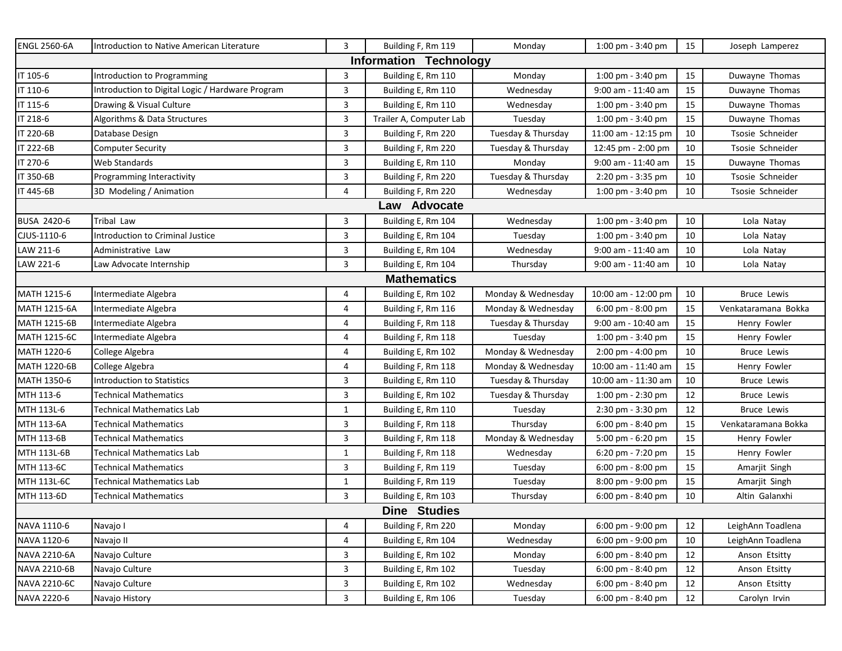| <b>ENGL 2560-6A</b>           | Introduction to Native American Literature       | $\mathbf{3}$ | Building F, Rm 119      | Monday             | 1:00 pm - 3:40 pm   | 15     | Joseph Lamperez     |  |
|-------------------------------|--------------------------------------------------|--------------|-------------------------|--------------------|---------------------|--------|---------------------|--|
| <b>Information Technology</b> |                                                  |              |                         |                    |                     |        |                     |  |
| IT 105-6                      | Introduction to Programming                      | 3            | Building E, Rm 110      | Monday             | 1:00 pm - 3:40 pm   | 15     | Duwayne Thomas      |  |
| IT 110-6                      | Introduction to Digital Logic / Hardware Program | 3            | Building E, Rm 110      | Wednesday          | 9:00 am - 11:40 am  | 15     | Duwayne Thomas      |  |
| IT 115-6                      | Drawing & Visual Culture                         | 3            | Building E, Rm 110      | Wednesday          | 1:00 pm - 3:40 pm   | 15     | Duwayne Thomas      |  |
| IT 218-6                      | Algorithms & Data Structures                     | 3            | Trailer A, Computer Lab | Tuesday            | 1:00 pm - 3:40 pm   | 15     | Duwayne Thomas      |  |
| IT 220-6B                     | Database Design                                  | 3            | Building F, Rm 220      | Tuesday & Thursday | 11:00 am - 12:15 pm | 10     | Tsosie Schneider    |  |
| IT 222-6B                     | <b>Computer Security</b>                         | 3            | Building F, Rm 220      | Tuesday & Thursday | 12:45 pm - 2:00 pm  | 10     | Tsosie Schneider    |  |
| IT 270-6                      | Web Standards                                    | 3            | Building E, Rm 110      | Monday             | 9:00 am - 11:40 am  | 15     | Duwayne Thomas      |  |
| IT 350-6B                     | Programming Interactivity                        | 3            | Building F, Rm 220      | Tuesday & Thursday | 2:20 pm - 3:35 pm   | $10\,$ | Tsosie Schneider    |  |
| IT 445-6B                     | 3D Modeling / Animation                          | 4            | Building F, Rm 220      | Wednesday          | 1:00 pm - 3:40 pm   | 10     | Tsosie Schneider    |  |
|                               |                                                  |              | Law Advocate            |                    |                     |        |                     |  |
| BUSA 2420-6                   | Tribal Law                                       | 3            | Building E, Rm 104      | Wednesday          | 1:00 pm - 3:40 pm   | 10     | Lola Natay          |  |
| CJUS-1110-6                   | <b>Introduction to Criminal Justice</b>          | 3            | Building E, Rm 104      | Tuesday            | 1:00 pm - 3:40 pm   | 10     | Lola Natay          |  |
| LAW 211-6                     | Administrative Law                               | 3            | Building E, Rm 104      | Wednesday          | 9:00 am - 11:40 am  | 10     | Lola Natay          |  |
| LAW 221-6                     | Law Advocate Internship                          | 3            | Building E, Rm 104      | Thursday           | 9:00 am - 11:40 am  | 10     | Lola Natay          |  |
|                               |                                                  |              | <b>Mathematics</b>      |                    |                     |        |                     |  |
| MATH 1215-6                   | Intermediate Algebra                             | 4            | Building E, Rm 102      | Monday & Wednesday | 10:00 am - 12:00 pm | 10     | <b>Bruce Lewis</b>  |  |
| MATH 1215-6A                  | Intermediate Algebra                             | 4            | Building F, Rm 116      | Monday & Wednesday | 6:00 pm - 8:00 pm   | 15     | Venkataramana Bokka |  |
| MATH 1215-6B                  | Intermediate Algebra                             | 4            | Building F, Rm 118      | Tuesday & Thursday | 9:00 am - 10:40 am  | 15     | Henry Fowler        |  |
| MATH 1215-6C                  | Intermediate Algebra                             | 4            | Building F, Rm 118      | Tuesday            | 1:00 pm - 3:40 pm   | 15     | Henry Fowler        |  |
| MATH 1220-6                   | College Algebra                                  | 4            | Building E, Rm 102      | Monday & Wednesday | 2:00 pm - 4:00 pm   | 10     | <b>Bruce Lewis</b>  |  |
| MATH 1220-6B                  | College Algebra                                  | 4            | Building F, Rm 118      | Monday & Wednesday | 10:00 am - 11:40 am | 15     | Henry Fowler        |  |
| MATH 1350-6                   | <b>Introduction to Statistics</b>                | 3            | Building E, Rm 110      | Tuesday & Thursday | 10:00 am - 11:30 am | 10     | <b>Bruce Lewis</b>  |  |
| MTH 113-6                     | <b>Fechnical Mathematics</b>                     | 3            | Building E, Rm 102      | Tuesday & Thursday | 1:00 pm - 2:30 pm   | 12     | <b>Bruce Lewis</b>  |  |
| MTH 113L-6                    | <b>Technical Mathematics Lab</b>                 | $\mathbf{1}$ | Building E, Rm 110      | Tuesday            | 2:30 pm - 3:30 pm   | 12     | <b>Bruce Lewis</b>  |  |
| MTH 113-6A                    | Technical Mathematics                            | 3            | Building F, Rm 118      | Thursday           | 6:00 pm - 8:40 pm   | 15     | Venkataramana Bokka |  |
| MTH 113-6B                    | Technical Mathematics                            | 3            | Building F, Rm 118      | Monday & Wednesday | 5:00 pm - 6:20 pm   | 15     | Henry Fowler        |  |
| MTH 113L-6B                   | Technical Mathematics Lab                        | 1            | Building F, Rm 118      | Wednesday          | 6:20 pm - 7:20 pm   | 15     | Henry Fowler        |  |
| MTH 113-6C                    | <b>Technical Mathematics</b>                     | 3            | Building F, Rm 119      | Tuesday            | 6:00 pm - 8:00 pm   | 15     | Amarjit Singh       |  |
| MTH 113L-6C                   | Technical Mathematics Lab                        | 1            | Building F, Rm 119      | Tuesday            | 8:00 pm - 9:00 pm   | 15     | Amarjit Singh       |  |
| MTH 113-6D                    | <b>Fechnical Mathematics</b>                     | 3            | Building E, Rm 103      | Thursday           | 6:00 pm - 8:40 pm   | 10     | Altin Galanxhi      |  |
| <b>Dine Studies</b>           |                                                  |              |                         |                    |                     |        |                     |  |
| NAVA 1110-6                   | Navajo I                                         | 4            | Building F, Rm 220      | Monday             | 6:00 pm - 9:00 pm   | 12     | LeighAnn Toadlena   |  |
| NAVA 1120-6                   | Navajo II                                        | 4            | Building E, Rm 104      | Wednesday          | 6:00 pm - 9:00 pm   | 10     | LeighAnn Toadlena   |  |
| NAVA 2210-6A                  | Navajo Culture                                   | 3            | Building E, Rm 102      | Monday             | 6:00 pm - 8:40 pm   | 12     | Anson Etsitty       |  |
| NAVA 2210-6B                  | Navajo Culture                                   | 3            | Building E, Rm 102      | Tuesday            | 6:00 pm - 8:40 pm   | 12     | Anson Etsitty       |  |
| NAVA 2210-6C                  | Navajo Culture                                   | 3            | Building E, Rm 102      | Wednesday          | 6:00 pm - 8:40 pm   | 12     | Anson Etsitty       |  |
| NAVA 2220-6                   | Navajo History                                   | 3            | Building E, Rm 106      | Tuesday            | 6:00 pm - 8:40 pm   | 12     | Carolyn Irvin       |  |